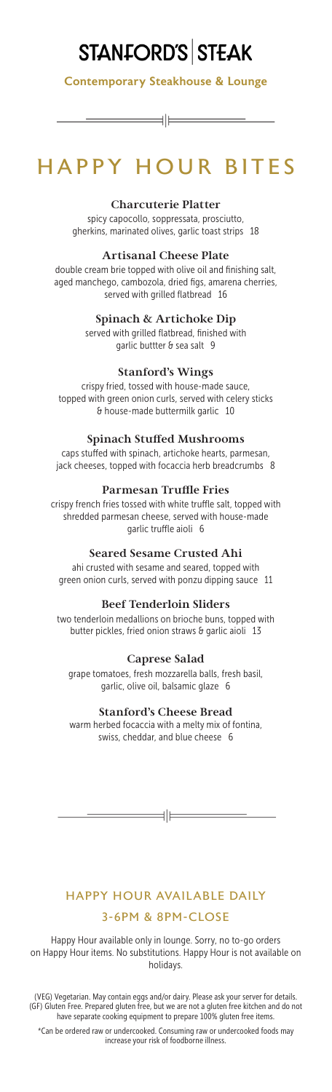# STANFORD'S STEAK

Contemporary Steakhouse & Lounge

∃∣⊨

## HAPPY HOUR BITES

#### **Charcuterie Platter**

spicy capocollo, soppressata, prosciutto, gherkins, marinated olives, garlic toast strips 18

#### **Artisanal Cheese Plate**

double cream brie topped with olive oil and finishing salt, aged manchego, cambozola, dried figs, amarena cherries, served with grilled flatbread 16

#### **Spinach & Artichoke Dip**

served with grilled flatbread, finished with garlic buttter & sea salt 9

#### **Stanford's Wings**

crispy fried, tossed with house-made sauce, topped with green onion curls, served with celery sticks & house-made buttermilk garlic 10

#### **Spinach Stuffed Mushrooms**

caps stuffed with spinach, artichoke hearts, parmesan, jack cheeses, topped with focaccia herb breadcrumbs 8

#### **Parmesan Truffle Fries**

crispy french fries tossed with white truffle salt, topped with shredded parmesan cheese, served with house-made garlic truffle aioli 6

#### **Seared Sesame Crusted Ahi**

ahi crusted with sesame and seared, topped with green onion curls, served with ponzu dipping sauce 11

#### **Beef Tenderloin Sliders**

two tenderloin medallions on brioche buns, topped with butter pickles, fried onion straws & garlic aioli 13

#### **Caprese Salad**

grape tomatoes, fresh mozzarella balls, fresh basil, garlic, olive oil, balsamic glaze 6

#### **Stanford's Cheese Bread**

warm herbed focaccia with a melty mix of fontina, swiss, cheddar, and blue cheese 6

 $\equiv$ 

## HAPPY HOUR AVAILABLE DAILY 3-6PM & 8PM-CLOSE

Happy Hour available only in lounge. Sorry, no to-go orders on Happy Hour items. No substitutions. Happy Hour is not available on holidays.

(VEG) Vegetarian. May contain eggs and/or dairy. Please ask your server for details. (GF) Gluten Free. Prepared gluten free, but we are not a gluten free kitchen and do not have separate cooking equipment to prepare 100% gluten free items.

\*Can be ordered raw or undercooked. Consuming raw or undercooked foods may increase your risk of foodborne illness.